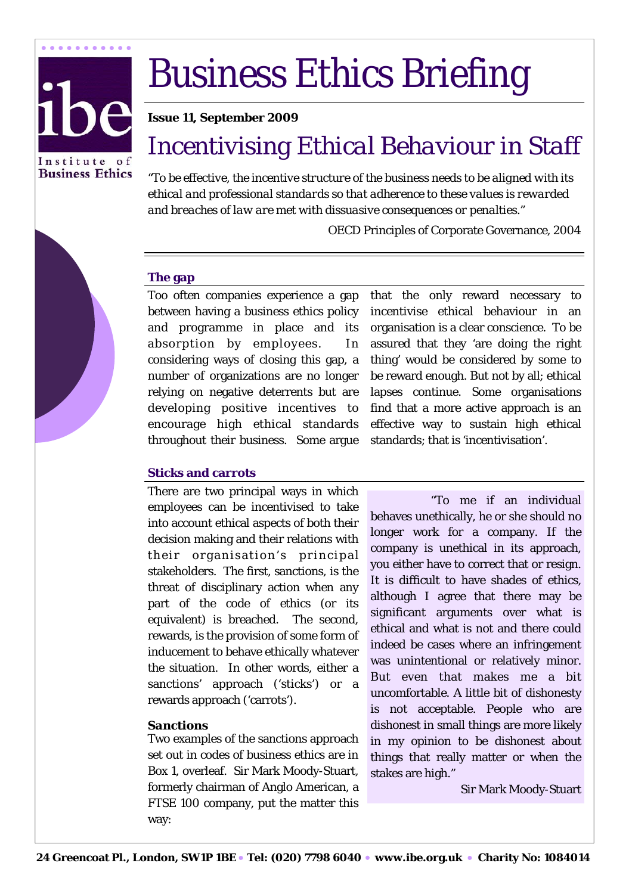

# Business Ethics Briefing

# **Issue 11, September 2009**

# *Incentivising Ethical Behaviour in Staff*

*"To be effective, the incentive structure of the business needs to be aligned with its ethical and professional standards so that adherence to these values is rewarded and breaches of law are met with dissuasive consequences or penalties."* 

OECD Principles of Corporate Governance, 2004

# **The gap**

Too often companies experience a gap between having a business ethics policy and programme in place and its absorption by employees. In considering ways of closing this gap, a number of organizations are no longer relying on negative deterrents but are developing positive incentives to encourage high ethical standards throughout their business.Some argue

that the only reward necessary to incentivise ethical behaviour in an organisation is a clear conscience. To be assured that they 'are doing the right thing' would be considered by some to be reward enough. But not by all; ethical lapses continue. Some organisations find that a more active approach is an effective way to sustain high ethical standards; that is 'incentivisation'.

# **Sticks and carrots**

There are two principal ways in which employees can be incentivised to take into account ethical aspects of both their decision making and their relations with their organisation's principal stakeholders. The first, sanctions, is the threat of disciplinary action when any part of the code of ethics (or its equivalent) is breached. The second, rewards, is the provision of some form of inducement to behave ethically whatever the situation. In other words, either a sanctions' approach ('sticks') or a rewards approach ('carrots').

#### *Sanctions*

Two examples of the sanctions approach set out in codes of business ethics are in Box 1, overleaf. Sir Mark Moody-Stuart, formerly chairman of Anglo American, a FTSE 100 company, put the matter this way:

 "To me if an individual behaves unethically, he or she should no longer work for a company. If the company is unethical in its approach, you either have to correct that or resign. It is difficult to have shades of ethics, although I agree that there may be significant arguments over what is ethical and what is not and there could indeed be cases where an infringement was unintentional or relatively minor. But even that makes me a bit uncomfortable. A little bit of dishonesty is not acceptable. People who are dishonest in small things are more likely in my opinion to be dishonest about things that really matter or when the stakes are high."

Sir Mark Moody-Stuart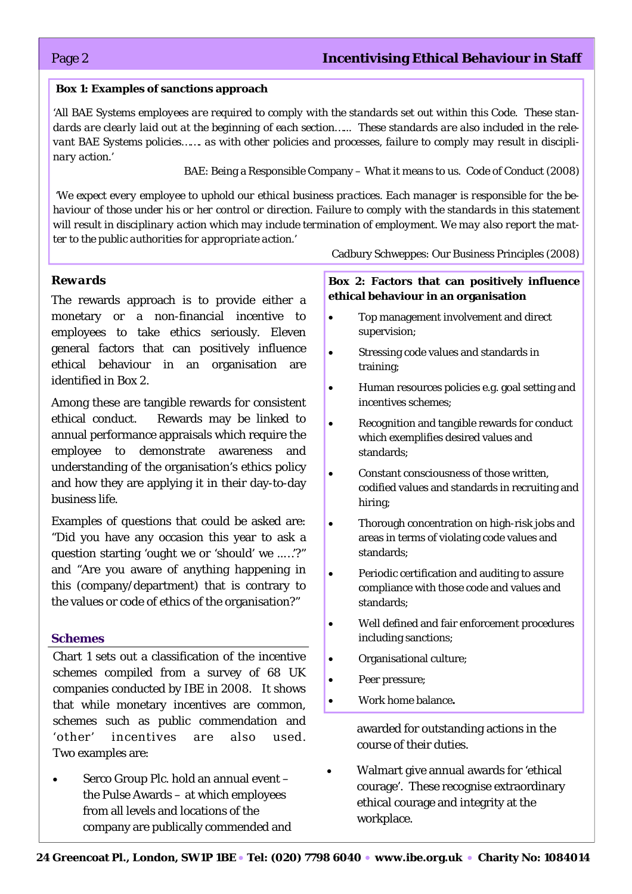### **Box 1: Examples of sanctions approach**

*'All BAE Systems employees are required to comply with the standards set out within this Code. These standards are clearly laid out at the beginning of each section…... These standards are also included in the relevant BAE Systems policies……. as with other policies and processes, failure to comply may result in disciplinary action.'* 

BAE: Being a Responsible Company – What it means to us. Code of Conduct (2008)

 *'We expect every employee to uphold our ethical business practices. Each manager is responsible for the behaviour of those under his or her control or direction. Failure to comply with the standards in this statement will result in disciplinary action which may include termination of employment. We may also report the matter to the public authorities for appropriate action.'* 

Cadbury Schweppes: Our Business Principles (2008)

#### *Rewards*

The rewards approach is to provide either a monetary or a non-financial incentive to employees to take ethics seriously. Eleven general factors that can positively influence ethical behaviour in an organisation are identified in Box 2.

Among these are tangible rewards for consistent ethical conduct. Rewards may be linked to annual performance appraisals which require the employee to demonstrate awareness and understanding of the organisation's ethics policy and how they are applying it in their day-to-day business life.

Examples of questions that could be asked are: "Did you have any occasion this year to ask a question starting 'ought we or 'should' we ..…'?" and "Are you aware of anything happening in this (company/department) that is contrary to the values or code of ethics of the organisation?"

#### **Schemes**

Chart 1 sets out a classification of the incentive schemes compiled from a survey of 68 UK companies conducted by IBE in 2008. It shows that while monetary incentives are common, schemes such as public commendation and 'other' incentives are also used. Two examples are:

• Serco Group Plc. hold an annual event – the Pulse Awards – at which employees from all levels and locations of the company are publically commended and

# **Box 2: Factors that can positively influence ethical behaviour in an organisation**

- Top management involvement and direct supervision;
- Stressing code values and standards in training;
- Human resources policies e.g. goal setting and incentives schemes;
- Recognition and tangible rewards for conduct which exemplifies desired values and standards;
- Constant consciousness of those written, codified values and standards in recruiting and hiring;
- Thorough concentration on high-risk jobs and areas in terms of violating code values and standards;
- Periodic certification and auditing to assure compliance with those code and values and standards;
- Well defined and fair enforcement procedures including sanctions;
- Organisational culture;
- Peer pressure;
- Work home balance**.**

awarded for outstanding actions in the course of their duties.

• Walmart give annual awards for 'ethical courage'. These recognise extraordinary ethical courage and integrity at the workplace.